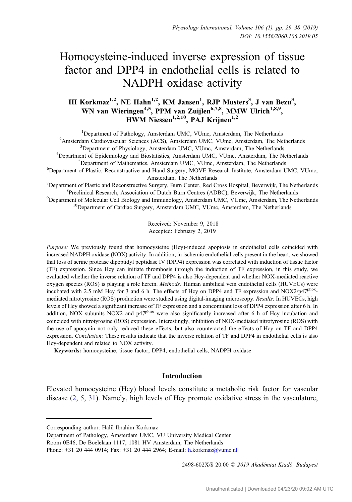# Homocysteine-induced inverse expression of tissue factor and DPP4 in endothelial cells is related to NADPH oxidase activity

# HI Korkmaz<sup>1,2</sup>, NE Hahn<sup>1,2</sup>, KM Jansen<sup>1</sup>, RJP Musters<sup>3</sup>, J van Bezu<sup>3</sup>, WN van Wieringen<sup>4,5</sup>, PPM van Zuijlen<sup>6,7,8</sup>, MMW Ulrich<sup>1,8,9</sup>, HWM Niessen<sup>1,2,10</sup>, PAJ Krijnen<sup>1,2</sup>

<sup>1</sup>Department of Pathology, Amsterdam UMC, VUmc, Amsterdam, The Netherlands <sup>2</sup> Department of Pathology, Amsterdam UMC, VUmc, Amsterdam, The Netherlands<br><sup>2</sup> Amsterdam Cardiovascular Sciences (ACS), Amsterdam UMC, VUlmc, Amsterdam, The Ne Amsterdam Cardiovascular Sciences (ACS), Amsterdam UMC, VUmc, Amsterdam, The Netherlands<br><sup>3</sup>Denartment of Physiology, Amsterdam UMC, VUmc, Amsterdam, The Netherlands Department of Physiology, Amsterdam UMC, VUmc, Amsterdam, The Netherlands<sup>4</sup>Department of Enidemiology and Biostatistics, Amsterdam UMC, VUJmc, Amsterdam, The N Department of Epidemiology and Biostatistics, Amsterdam UMC, VUmc, Amsterdam, The Netherlands<br><sup>5</sup>Department of Mathematics, Amsterdam UMC, VUmc, Amsterdam, The Netherlands <sup>6</sup>Department of Mathematics, Amsterdam UMC, VUmc, Amsterdam, The Netherlands<br><sup>6</sup>Department of Plastic, Reconstructive and Hand Surgery, MOVE Research Institute, Amsterdam UMC, VUmc, Amsterdam, The Netherlands<br><sup>7</sup>Department of Plastic and Reconstructive Surgery, Burn Center, Red C Department of Plastic and Reconstructive Surgery, Burn Center, Red Cross Hospital, Beverwijk, The Netherlands<br><sup>8</sup>Preclinical Research, Association of Dutch Burn Centres (ADBC), Beverwijk, The Netherlands

<sup>8</sup> Preclinical Research, Association of Dutch Burn Centres (ADBC), Beverwijk, The Netherlands <sup>9</sup> Department of Molecular Cell Biology and Immunology, Amsterdam UMC, VUmc, Amsterdam, The Netherlands <sup>10</sup>Department of Cardiac Surgery, Amsterdam UMC, VUmc, Amsterdam, The Netherlands

> Received: November 9, 2018 Accepted: February 2, 2019

Purpose: We previously found that homocysteine (Hcy)-induced apoptosis in endothelial cells coincided with increased NADPH oxidase (NOX) activity. In addition, in ischemic endothelial cells present in the heart, we showed that loss of serine protease dipeptidyl peptidase IV (DPP4) expression was correlated with induction of tissue factor (TF) expression. Since Hcy can initiate thrombosis through the induction of TF expression, in this study, we evaluated whether the inverse relation of TF and DPP4 is also Hcy-dependent and whether NOX-mediated reactive oxygen species (ROS) is playing a role herein. Methods: Human umbilical vein endothelial cells (HUVECs) were incubated with 2.5 mM Hcy for 3 and 6 h. The effects of Hcy on DPP4 and TF expression and NOX2/p47<sup>phox</sup>mediated nitrotyrosine (ROS) production were studied using digital-imaging microscopy. Results: In HUVECs, high levels of Hcy showed a significant increase of TF expression and a concomitant loss of DPP4 expression after 6 h. In addition, NOX subunits NOX2 and  $p47<sup>phox</sup>$  were also significantly increased after 6 h of Hcy incubation and coincided with nitrotyrosine (ROS) expression. Interestingly, inhibition of NOX-mediated nitrotyrosine (ROS) with the use of apocynin not only reduced these effects, but also counteracted the effects of Hcy on TF and DPP4 expression. Conclusion: These results indicate that the inverse relation of TF and DPP4 in endothelial cells is also Hcy-dependent and related to NOX activity.

Keywords: homocysteine, tissue factor, DPP4, endothelial cells, NADPH oxidase

# Introduction

Elevated homocysteine (Hcy) blood levels constitute a metabolic risk factor for vascular disease [\(2](#page-7-0), [5,](#page-7-0) [31\)](#page-8-0). Namely, high levels of Hcy promote oxidative stress in the vasculature,

2498-602X/\$ 20.00 © 2019 Akadémiai Kiadó, Budapest

Corresponding author: Halil Ibrahim Korkmaz

Department of Pathology, Amsterdam UMC, VU University Medical Center

Room 0E46, De Boelelaan 1117, 1081 HV Amsterdam, The Netherlands

Phone: +31 20 444 0914; Fax: +31 20 444 2964; E-mail: [h.korkmaz@vumc.nl](mailto:h.korkmaz@vumc.nl)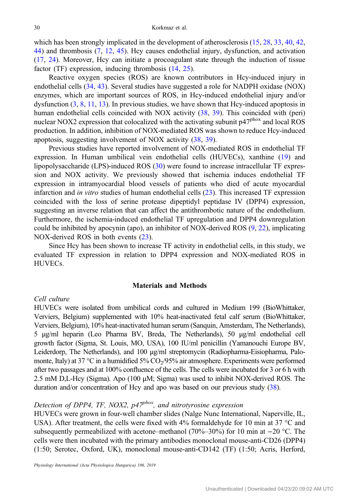which has been strongly implicated in the development of atherosclerosis [\(15](#page-8-0), [28,](#page-8-0) [33,](#page-8-0) [40,](#page-9-0) [42,](#page-9-0) [44](#page-9-0)) and thrombosis [\(7](#page-7-0), [12](#page-7-0), [45](#page-9-0)). Hcy causes endothelial injury, dysfunction, and activation [\(17](#page-8-0), [24\)](#page-8-0). Moreover, Hcy can initiate a procoagulant state through the induction of tissue factor (TF) expression, inducing thrombosis  $(14, 25)$  $(14, 25)$  $(14, 25)$  $(14, 25)$ .

Reactive oxygen species (ROS) are known contributors in Hcy-induced injury in endothelial cells ([34,](#page-8-0) [43\)](#page-9-0). Several studies have suggested a role for NADPH oxidase (NOX) enzymes, which are important sources of ROS, in Hcy-induced endothelial injury and/or dysfunction  $(3, 8, 11, 13)$  $(3, 8, 11, 13)$  $(3, 8, 11, 13)$  $(3, 8, 11, 13)$  $(3, 8, 11, 13)$  $(3, 8, 11, 13)$  $(3, 8, 11, 13)$  $(3, 8, 11, 13)$  $(3, 8, 11, 13)$ . In previous studies, we have shown that Hcy-induced apoptosis in human endothelial cells coincided with NOX activity [\(38](#page-9-0), [39](#page-9-0)). This coincided with (peri) nuclear NOX2 expression that colocalized with the activating subunit  $p47<sup>phox</sup>$  and local ROS production. In addition, inhibition of NOX-mediated ROS was shown to reduce Hcy-induced apoptosis, suggesting involvement of NOX activity ([38,](#page-9-0) [39\)](#page-9-0).

Previous studies have reported involvement of NOX-mediated ROS in endothelial TF expression. In Human umbilical vein endothelial cells (HUVECs), xanthine ([19\)](#page-8-0) and lipopolysaccharide (LPS)-induced ROS ([30\)](#page-8-0) were found to increase intracellular TF expression and NOX activity. We previously showed that ischemia induces endothelial TF expression in intramyocardial blood vessels of patients who died of acute myocardial infarction and in vitro studies of human endothelial cells ([23\)](#page-8-0). This increased TF expression coincided with the loss of serine protease dipeptidyl peptidase IV (DPP4) expression, suggesting an inverse relation that can affect the antithrombotic nature of the endothelium. Furthermore, the ischemia-induced endothelial TF upregulation and DPP4 downregulation could be inhibited by apocynin (apo), an inhibitor of NOX-derived ROS ([9,](#page-7-0) [22\)](#page-8-0), implicating NOX-derived ROS in both events [\(23](#page-8-0)).

Since Hcy has been shown to increase TF activity in endothelial cells, in this study, we evaluated TF expression in relation to DPP4 expression and NOX-mediated ROS in HUVECs.

#### Materials and Methods

## Cell culture

HUVECs were isolated from umbilical cords and cultured in Medium 199 (BioWhittaker, Verviers, Belgium) supplemented with 10% heat-inactivated fetal calf serum (BioWhittaker, Verviers, Belgium), 10% heat-inactivated human serum (Sanquin, Amsterdam, The Netherlands), 5 μg/ml heparin (Leo Pharma BV, Breda, The Netherlands), 50 μg/ml endothelial cell growth factor (Sigma, St. Louis, MO, USA), 100 IU/ml penicillin (Yamanouchi Europe BV, Leiderdorp, The Netherlands), and 100 μg/ml streptomycin (Radiopharma-Eisiopharma, Palomonte, Italy) at 37 °C in a humidified 5%  $CO<sub>2</sub>/95%$  air atmosphere. Experiments were performed after two passages and at 100% confluence of the cells. The cells were incubated for 3 or 6 h with 2.5 mM D,L-Hcy (Sigma). Apo (100 μM; Sigma) was used to inhibit NOX-derived ROS. The duration and/or concentration of Hcy and apo was based on our previous study ([38](#page-9-0)).

# Detection of DPP4, TF, NOX2,  $p47^{phox}$ , and nitrotyrosine expression

HUVECs were grown in four-well chamber slides (Nalge Nunc International, Naperville, IL, USA). After treatment, the cells were fixed with 4% formaldehyde for 10 min at 37 °C and subsequently permeabilized with acetone–methanol (70%–30%) for 10 min at −20 °C. The cells were then incubated with the primary antibodies monoclonal mouse-anti-CD26 (DPP4) (1:50; Serotec, Oxford, UK), monoclonal mouse-anti-CD142 (TF) (1:50; Acris, Herford,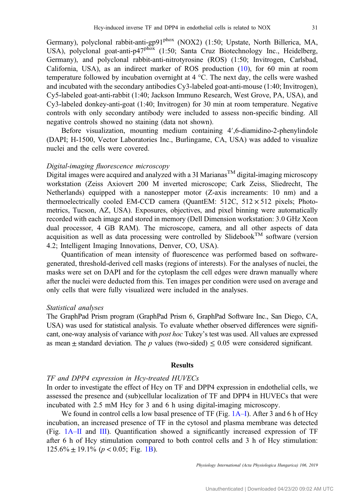Germany), polyclonal rabbit-anti-gp91<sup>phox</sup> (NOX2) (1:50; Upstate, North Billerica, MA, USA), polyclonal goat-anti-p47<sup>phox</sup> (1:50; Santa Cruz Biotechnology Inc., Heidelberg, Germany), and polyclonal rabbit-anti-nitrotyrosine (ROS) (1:50; Invitrogen, Carlsbad, California, USA), as an indirect marker of ROS production ([10\)](#page-7-0), for 60 min at room temperature followed by incubation overnight at 4 °C. The next day, the cells were washed and incubated with the secondary antibodies Cy3-labeled goat-anti-mouse (1:40; Invitrogen), Cy5-labeled goat-anti-rabbit (1:40; Jackson Immuno Research, West Grove, PA, USA), and Cy3-labeled donkey-anti-goat (1:40; Invitrogen) for 30 min at room temperature. Negative controls with only secondary antibody were included to assess non-specific binding. All negative controls showed no staining (data not shown).

Before visualization, mounting medium containing 4′,6-diamidino-2-phenylindole (DAPI; H-1500, Vector Laboratories Inc., Burlingame, CA, USA) was added to visualize nuclei and the cells were covered.

# Digital-imaging fluorescence microscopy

Digital images were acquired and analyzed with a 3I Marianas<sup>TM</sup> digital-imaging microscopy workstation (Zeiss Axiovert 200 M inverted microscope; Cark Zeiss, Sliedrecht, The Netherlands) equipped with a nanostepper motor (Z-axis increaments: 10 nm) and a thermoelectrically cooled EM-CCD camera (QuantEM:  $512C$ ,  $512 \times 512$  pixels; Photometrics, Tucson, AZ, USA). Exposures, objectives, and pixel binning were automatically recorded with each image and stored in memory (Dell Dimension workstation: 3.0 GHz Xeon dual processor, 4 GB RAM). The microscope, camera, and all other aspects of data acquisition as well as data processing were controlled by Slidebook<sup>TM</sup> software (version 4.2; Intelligent Imaging Innovations, Denver, CO, USA).

Quantification of mean intensity of fluorescence was performed based on softwaregenerated, threshold-derived cell masks (regions of interests). For the analyses of nuclei, the masks were set on DAPI and for the cytoplasm the cell edges were drawn manually where after the nuclei were deducted from this. Ten images per condition were used on average and only cells that were fully visualized were included in the analyses.

#### Statistical analyses

The GraphPad Prism program (GraphPad Prism 6, GraphPad Software Inc., San Diego, CA, USA) was used for statistical analysis. To evaluate whether observed differences were significant, one-way analysis of variance with post hoc Tukey's test was used. All values are expressed as mean  $\pm$  standard deviation. The p values (two-sided)  $\leq$  0.05 were considered significant.

#### Results

### TF and DPP4 expression in Hcy-treated HUVECs

In order to investigate the effect of Hcy on TF and DPP4 expression in endothelial cells, we assessed the presence and (sub)cellular localization of TF and DPP4 in HUVECs that were incubated with 2.5 mM Hcy for 3 and 6 h using digital-imaging microscopy.

We found in control cells a low basal presence of TF (Fig. [1A](#page-3-0)–I). After 3 and 6 h of Hcy incubation, an increased presence of TF in the cytosol and plasma membrane was detected (Fig. [1A](#page-3-0)–II and [III\)](#page-3-0). Quantification showed a significantly increased expression of TF after 6 h of Hcy stimulation compared to both control cells and 3 h of Hcy stimulation:  $125.6\% \pm 19.1\%$  ( $p < 0.05$ ; Fig. [1B](#page-3-0)).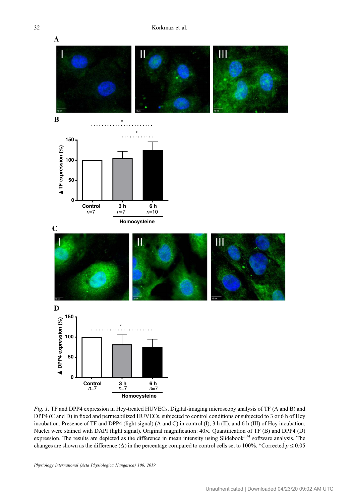<span id="page-3-0"></span>

Fig. 1. TF and DPP4 expression in Hcy-treated HUVECs. Digital-imaging microscopy analysis of TF (A and B) and DPP4 (C and D) in fixed and permeabilized HUVECs, subjected to control conditions or subjected to 3 or 6 h of Hcy incubation. Presence of TF and DPP4 (light signal) (A and C) in control (I), 3 h (II), and 6 h (III) of Hcy incubation. Nuclei were stained with DAPI (light signal). Original magnification: 40×. Quantification of TF (B) and DPP4 (D) expression. The results are depicted as the difference in mean intensity using Slidebook<sup>TM</sup> software analysis. The changes are shown as the difference ( $\Delta$ ) in the percentage compared to control cells set to 100%. \*Corrected  $p \le 0.05$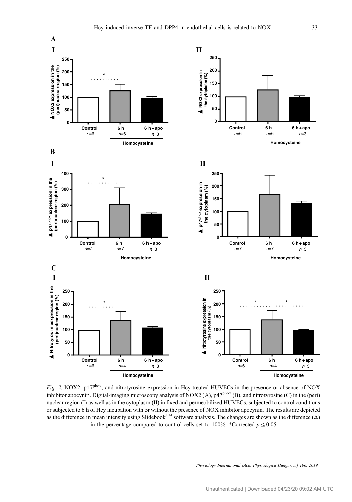<span id="page-4-0"></span>

Fig. 2. NOX2, p47<sup>phox</sup>, and nitrotyrosine expression in Hcy-treated HUVECs in the presence or absence of NOX inhibitor apocynin. Digital-imaging microscopy analysis of NOX2 (A), p47<sup>phox</sup> (B), and nitrotyrosine (C) in the (peri) nuclear region (I) as well as in the cytoplasm (II) in fixed and permeabilized HUVECs, subjected to control conditions or subjected to 6 h of Hcy incubation with or without the presence of NOX inhibitor apocynin. The results are depicted<br>as the difference in mean intensity using Slidebook<sup>TM</sup> software analysis. The changes are shown as th in the percentage compared to control cells set to 100%. \*Corrected  $p \le 0.05$ 

Physiology International (Acta Physiologica Hungarica) 106, 2019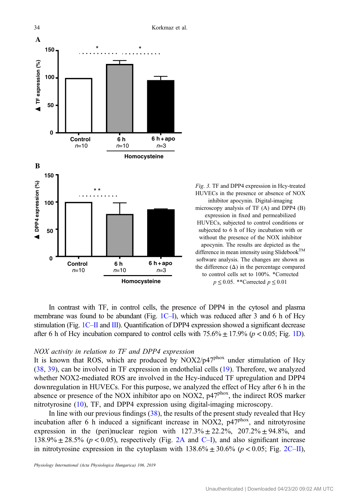<span id="page-5-0"></span>

\* \* Fig. 3. TF and DPP4 expression in Hcy-treated<br>
HUVECs in the presence or absence of NOX inhibitor apocynin. Digital-imaging microscopy analysis of TF (A) and DPP4 (B) expression in fixed and permeabilized HUVECs, subjected to control conditions or subjected to 6 h of Hcy incubation with or without the presence of the NOX inhibitor apocynin. The results are depicted as the difference in mean intensity using Slidebook  $^{\rm TM}$ software analysis. The changes are shown as the difference  $(\Delta)$  in the percentage compared to control cells set to 100%. \*Corrected  $p \le 0.05$ . \*\*Corrected  $p \le 0.01$ 

In contrast with TF, in control cells, the presence of DPP4 in the cytosol and plasma membrane was found to be abundant (Fig.  $1C-I$  $1C-I$ ), which was reduced after 3 and 6 h of Hcy stimulation (Fig.  $1C$ –II and [III](#page-3-0)). Quantification of DPP4 expression showed a significant decrease after 6 h of Hcy incubation compared to control cells with  $75.6\% \pm 17.9\%$  ( $p < 0.05$ ; Fig. [1D\)](#page-3-0).

#### NOX activity in relation to TF and DPP4 expression

It is known that ROS, which are produced by  $NOX2/p47^{pbox}$  under stimulation of Hcy [\(38](#page-9-0), [39\)](#page-9-0), can be involved in TF expression in endothelial cells ([19\)](#page-8-0). Therefore, we analyzed whether NOX2-mediated ROS are involved in the Hcy-induced TF upregulation and DPP4 downregulation in HUVECs. For this purpose, we analyzed the effect of Hcy after 6 h in the absence or presence of the NOX inhibitor apo on NOX2,  $p47^{pbox}$ , the indirect ROS marker nitrotyrosine [\(10](#page-7-0)), TF, and DPP4 expression using digital-imaging microscopy.

In line with our previous findings  $(38)$  $(38)$ , the results of the present study revealed that Hcy incubation after 6 h induced a significant increase in NOX2, p47phox, and nitrotyrosine expression in the (peri)nuclear region with  $127.3\% \pm 22.2\%$ ,  $207.2\% \pm 94.8\%$ , and 138.9%  $\pm$  28.5% ( $p$  < 0.05), respectively (Fig. [2A](#page-4-0) and [C](#page-4-0)–I), and also significant increase in nitrotyrosine expression in the cytoplasm with  $138.6\% \pm 30.6\%$  (p < 0.05; Fig. [2C](#page-4-0)–II),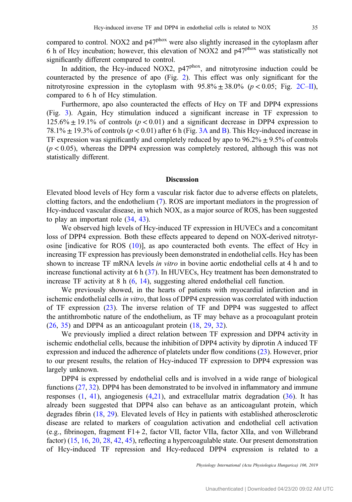compared to control. NOX2 and p47<sup>phox</sup> were also slightly increased in the cytoplasm after 6 h of Hcy incubation; however, this elevation of NOX2 and p47phox was statistically not significantly different compared to control.

In addition, the Hcy-induced NOX2,  $p47<sup>phox</sup>$ , and nitrotyrosine induction could be counteracted by the presence of apo (Fig. [2\)](#page-4-0). This effect was only significant for the nitrotyrosine expression in the cytoplasm with  $95.8\% \pm 38.0\%$  ( $p < 0.05$ ; Fig. [2C](#page-4-0)–II), compared to 6 h of Hcy stimulation.

Furthermore, apo also counteracted the effects of Hcy on TF and DPP4 expressions (Fig. [3\)](#page-5-0). Again, Hcy stimulation induced a significant increase in TF expression to  $125.6\% \pm 19.1\%$  of controls ( $p < 0.01$ ) and a significant decrease in DPP4 expression to 78.1%  $\pm$  19.3% of controls ( $p < 0.01$ ) after 6 h (Fig. [3A](#page-5-0) and [B\)](#page-5-0). This Hcy-induced increase in TF expression was significantly and completely reduced by apo to  $96.2\% \pm 9.5\%$  of controls  $(p < 0.05)$ , whereas the DPP4 expression was completely restored, although this was not statistically different.

#### Discussion

Elevated blood levels of Hcy form a vascular risk factor due to adverse effects on platelets, clotting factors, and the endothelium [\(7](#page-7-0)). ROS are important mediators in the progression of Hcy-induced vascular disease, in which NOX, as a major source of ROS, has been suggested to play an important role ([34,](#page-8-0) [43\)](#page-9-0).

We observed high levels of Hcy-induced TF expression in HUVECs and a concomitant loss of DPP4 expression. Both these effects appeared to depend on NOX-derived nitrotyrosine [indicative for ROS ([10\)](#page-7-0)], as apo counteracted both events. The effect of Hcy in increasing TF expression has previously been demonstrated in endothelial cells. Hcy has been shown to increase TF mRNA levels in vitro in bovine aortic endothelial cells at 4 h and to increase functional activity at 6 h ([37\)](#page-9-0). In HUVECs, Hcy treatment has been demonstrated to increase TF activity at 8 h ([6,](#page-7-0) [14\)](#page-8-0), suggesting altered endothelial cell function.

We previously showed, in the hearts of patients with myocardial infarction and in ischemic endothelial cells in vitro, that loss of DPP4 expression was correlated with induction of TF expression [\(23](#page-8-0)). The inverse relation of TF and DPP4 was suggested to affect the antithrombotic nature of the endothelium, as TF may behave as a procoagulant protein [\(26](#page-8-0), [35](#page-8-0)) and DPP4 as an anticoagulant protein ([18,](#page-8-0) [29,](#page-8-0) [32\)](#page-8-0).

We previously implied a direct relation between TF expression and DPP4 activity in ischemic endothelial cells, because the inhibition of DPP4 activity by diprotin A induced TF expression and induced the adherence of platelets under flow conditions ([23\)](#page-8-0). However, prior to our present results, the relation of Hcy-induced TF expression to DPP4 expression was largely unknown.

DPP4 is expressed by endothelial cells and is involved in a wide range of biological functions [\(27](#page-8-0), [32](#page-8-0)). DPP4 has been demonstrated to be involved in inflammatory and immune responses  $(1, 41)$  $(1, 41)$  $(1, 41)$  $(1, 41)$ , angiogenesis  $(4,21)$  $(4,21)$  $(4,21)$  $(4,21)$ , and extracellular matrix degradation  $(36)$  $(36)$ . It has already been suggested that DPP4 also can behave as an anticoagulant protein, which degrades fibrin [\(18](#page-8-0), [29](#page-8-0)). Elevated levels of Hcy in patients with established atherosclerotic disease are related to markers of coagulation activation and endothelial cell activation (e.g., fibrinogen, fragment F1+ 2, factor VII, factor VIIa, factor XIIa, and von Willebrand factor) ([15,](#page-8-0) [16,](#page-8-0) [20,](#page-8-0) [28](#page-8-0), [42](#page-9-0), [45](#page-9-0)), reflecting a hypercoagulable state. Our present demonstration of Hcy-induced TF repression and Hcy-reduced DPP4 expression is related to a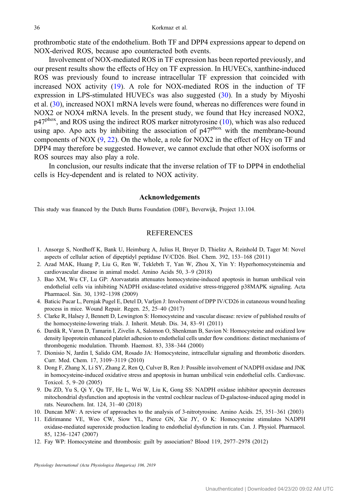<span id="page-7-0"></span>prothrombotic state of the endothelium. Both TF and DPP4 expressions appear to depend on NOX-derived ROS, because apo counteracted both events.

Involvement of NOX-mediated ROS in TF expression has been reported previously, and our present results show the effects of Hcy on TF expression. In HUVECs, xanthine-induced ROS was previously found to increase intracellular TF expression that coincided with increased NOX activity [\(19](#page-8-0)). A role for NOX-mediated ROS in the induction of TF expression in LPS-stimulated HUVECs was also suggested  $(30)$  $(30)$ . In a study by Miyoshi et al. ([30\)](#page-8-0), increased NOX1 mRNA levels were found, whereas no differences were found in NOX2 or NOX4 mRNA levels. In the present study, we found that Hcy increased NOX2,  $p47<sup>phox</sup>$ , and ROS using the indirect ROS marker nitrotyrosine (10), which was also reduced using apo. Apo acts by inhibiting the association of  $p47^{pbox}$  with the membrane-bound components of NOX  $(9, 22)$  $(9, 22)$  $(9, 22)$ . On the whole, a role for NOX2 in the effect of Hcy on TF and DPP4 may therefore be suggested. However, we cannot exclude that other NOX isoforms or ROS sources may also play a role.

In conclusion, our results indicate that the inverse relation of TF to DPP4 in endothelial cells is Hcy-dependent and is related to NOX activity.

#### Acknowledgements

This study was financed by the Dutch Burns Foundation (DBF), Beverwijk, Project 13.104.

# REFERENCES

- 1. Ansorge S, Nordhoff K, Bank U, Heimburg A, Julius H, Breyer D, Thielitz A, Reinhold D, Tager M: Novel aspects of cellular action of dipeptidyl peptidase IV/CD26. Biol. Chem. 392, 153–168 (2011)
- 2. Azad MAK, Huang P, Liu G, Ren W, Teklebrh T, Yan W, Zhou X, Yin Y: Hyperhomocysteinemia and cardiovascular disease in animal model. Amino Acids 50, 3–9 (2018)
- 3. Bao XM, Wu CF, Lu GP: Atorvastatin attenuates homocysteine-induced apoptosis in human umbilical vein endothelial cells via inhibiting NADPH oxidase-related oxidative stress-triggered p38MAPK signaling. Acta Pharmacol. Sin. 30, 1392–1398 (2009)
- 4. Baticic Pucar L, Pernjak Pugel E, Detel D, Varljen J: Involvement of DPP IV/CD26 in cutaneous wound healing process in mice. Wound Repair. Regen. 25, 25–40 (2017)
- 5. Clarke R, Halsey J, Bennett D, Lewington S: Homocysteine and vascular disease: review of published results of the homocysteine-lowering trials. J. Inherit. Metab. Dis. 34, 83–91 (2011)
- 6. Dardik R, Varon D, Tamarin I, Zivelin A, Salomon O, Shenkman B, Savion N: Homocysteine and oxidized low density lipoprotein enhanced platelet adhesion to endothelial cells under flow conditions: distinct mechanisms of thrombogenic modulation. Thromb. Haemost. 83, 338–344 (2000)
- 7. Dionisio N, Jardin I, Salido GM, Rosado JA: Homocysteine, intracellular signaling and thrombotic disorders. Curr. Med. Chem. 17, 3109–3119 (2010)
- 8. Dong F, Zhang X, Li SY, Zhang Z, Ren Q, Culver B, Ren J: Possible involvement of NADPH oxidase and JNK in homocysteine-induced oxidative stress and apoptosis in human umbilical vein endothelial cells. Cardiovasc. Toxicol. 5, 9–20 (2005)
- 9. Du ZD, Yu S, Qi Y, Qu TF, He L, Wei W, Liu K, Gong SS: NADPH oxidase inhibitor apocynin decreases mitochondrial dysfunction and apoptosis in the ventral cochlear nucleus of D-galactose-induced aging model in rats. Neurochem. Int. 124, 31–40 (2018)
- 10. Duncan MW: A review of approaches to the analysis of 3-nitrotyrosine. Amino Acids. 25, 351–361 (2003)
- 11. Edirimanne VE, Woo CW, Siow YL, Pierce GN, Xie JY, O K: Homocysteine stimulates NADPH oxidase-mediated superoxide production leading to endothelial dysfunction in rats. Can. J. Physiol. Pharmacol. 85, 1236–1247 (2007)
- 12. Fay WP: Homocysteine and thrombosis: guilt by association? Blood 119, 2977–2978 (2012)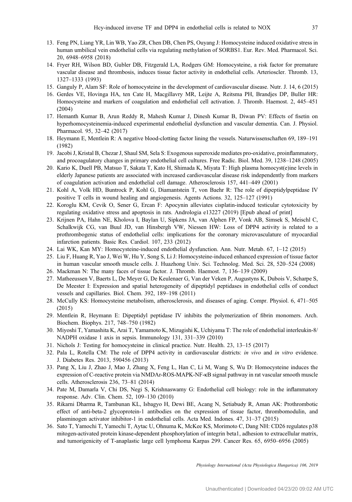- <span id="page-8-0"></span>13. Feng PN, Liang YR, Lin WB, Yao ZR, Chen DB, Chen PS, Ouyang J: Homocysteine induced oxidative stress in human umbilical vein endothelial cells via regulating methylation of SORBS1. Eur. Rev. Med. Pharmacol. Sci. 20, 6948–6958 (2018)
- 14. Fryer RH, Wilson BD, Gubler DB, Fitzgerald LA, Rodgers GM: Homocysteine, a risk factor for premature vascular disease and thrombosis, induces tissue factor activity in endothelial cells. Arterioscler. Thromb. 13, 1327–1333 (1993)
- 15. Ganguly P, Alam SF: Role of homocysteine in the development of cardiovascular disease. Nutr. J. 14, 6 (2015)
- 16. Gerdes VE, Hovinga HA, ten Cate H, Macgillavry MR, Leijte A, Reitsma PH, Brandjes DP, Buller HR: Homocysteine and markers of coagulation and endothelial cell activation. J. Thromb. Haemost. 2, 445–451 (2004)
- 17. Hemanth Kumar B, Arun Reddy R, Mahesh Kumar J, Dinesh Kumar B, Diwan PV: Effects of fisetin on hyperhomocysteinemia-induced experimental endothelial dysfunction and vascular dementia. Can. J. Physiol. Pharmacol. 95, 32–42 (2017)
- 18. Heymann E, Mentlein R: A negative blood-clotting factor lining the vessels. Naturwissenschaften 69, 189–191 (1982)
- 19. Jacobi J, Kristal B, Chezar J, Shaul SM, Sela S: Exogenous superoxide mediates pro-oxidative, proinflammatory, and procoagulatory changes in primary endothelial cell cultures. Free Radic. Biol. Med. 39, 1238–1248 (2005)
- 20. Kario K, Duell PB, Matsuo T, Sakata T, Kato H, Shimada K, Miyata T: High plasma homocyst(e)ine levels in elderly Japanese patients are associated with increased cardiovascular disease risk independently from markers of coagulation activation and endothelial cell damage. Atherosclerosis 157, 441–449 (2001)
- 21. Kohl A, Volk HD, Buntrock P, Kohl G, Diamantstein T, von Baehr R: The role of dipeptidylpeptidase IV positive T cells in wound healing and angiogenesis. Agents Actions. 32, 125–127 (1991)
- 22. Koroglu KM, Cevik O, Sener G, Ercan F: Apocynin alleviates cisplatin-induced testicular cytotoxicity by regulating oxidative stress and apoptosis in rats. Andrologia e13227 (2019) [Epub ahead of print]
- 23. Krijnen PA, Hahn NE, Kholova I, Baylan U, Sipkens JA, van Alphen FP, Vonk AB, Simsek S, Meischl C, Schalkwijk CG, van Buul JD, van Hinsbergh VW, Niessen HW: Loss of DPP4 activity is related to a prothrombogenic status of endothelial cells: implications for the coronary microvasculature of myocardial infarction patients. Basic Res. Cardiol. 107, 233 (2012)
- 24. Lai WK, Kan MY: Homocysteine-induced endothelial dysfunction. Ann. Nutr. Metab. 67, 1–12 (2015)
- 25. Liu F, Huang R, Yao J, Wei W, Hu Y, Song S, Li J: Homocysteine-induced enhanced expression of tissue factor in human vascular smooth muscle cells. J. Huazhong Univ. Sci. Technolog. Med. Sci. 28, 520–524 (2008)
- 26. Mackman N: The many faces of tissue factor. J. Thromb. Haemost. 7, 136–139 (2009)
- 27. Matheeussen V, Baerts L, De Meyer G, De Keulenaer G, Van der Veken P, Augustyns K, Dubois V, Scharpe S, De Meester I: Expression and spatial heterogeneity of dipeptidyl peptidases in endothelial cells of conduct vessels and capillaries. Biol. Chem. 392, 189–198 (2011)
- 28. McCully KS: Homocysteine metabolism, atherosclerosis, and diseases of aging. Compr. Physiol. 6, 471–505 (2015)
- 29. Mentlein R, Heymann E: Dipeptidyl peptidase IV inhibits the polymerization of fibrin monomers. Arch. Biochem. Biophys. 217, 748–750 (1982)
- 30. Miyoshi T, Yamashita K, Arai T, Yamamoto K, Mizugishi K, Uchiyama T: The role of endothelial interleukin-8/ NADPH oxidase 1 axis in sepsis. Immunology 131, 331–339 (2010)
- 31. Nichols J: Testing for homocysteine in clinical practice. Nutr. Health. 23, 13–15 (2017)
- 32. Pala L, Rotella CM: The role of DPP4 activity in cardiovascular districts: in vivo and in vitro evidence. J. Diabetes Res. 2013, 590456 (2013)
- 33. Pang X, Liu J, Zhao J, Mao J, Zhang X, Feng L, Han C, Li M, Wang S, Wu D: Homocysteine induces the expression of C-reactive protein via NMDAr-ROS-MAPK-NF-κB signal pathway in rat vascular smooth muscle cells. Atherosclerosis 236, 73–81 (2014)
- 34. Pate M, Damarla V, Chi DS, Negi S, Krishnaswamy G: Endothelial cell biology: role in the inflammatory response. Adv. Clin. Chem. 52, 109–130 (2010)
- 35. Rikarni Dharma R, Tambunan KL, Isbagyo H, Dewi BE, Acang N, Setiabudy R, Aman AK: Prothrombotic effect of anti-beta-2 glycoprotein-1 antibodies on the expression of tissue factor, thrombomodulin, and plasminogen activator inhibitor-1 in endothelial cells. Acta Med. Indones. 47, 31–37 (2015)
- 36. Sato T, Yamochi T, Yamochi T, Aytac U, Ohnuma K, McKee KS, Morimoto C, Dang NH: CD26 regulates p38 mitogen-activated protein kinase-dependent phosphorylation of integrin beta1, adhesion to extracellular matrix, and tumorigenicity of T-anaplastic large cell lymphoma Karpas 299. Cancer Res. 65, 6950–6956 (2005)

Physiology International (Acta Physiologica Hungarica) 106, 2019

Unauthenticated | Downloaded 04/23/20 09:02 AM UTC